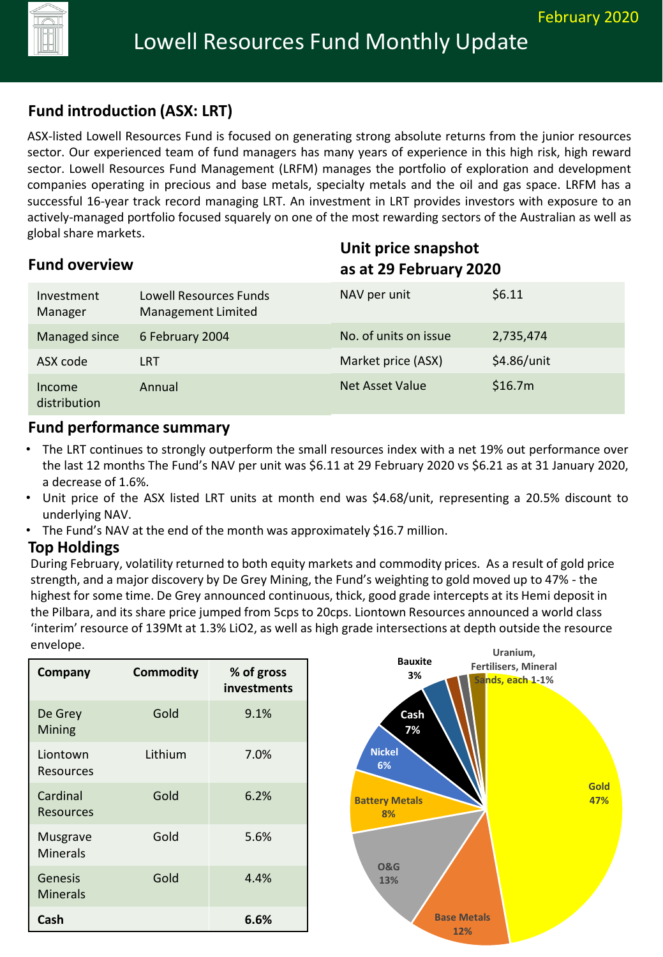

# **Fund introduction (ASX: LRT)**

ASX-listed Lowell Resources Fund is focused on generating strong absolute returns from the junior resources sector. Our experienced team of fund managers has many years of experience in this high risk, high reward sector. Lowell Resources Fund Management (LRFM) manages the portfolio of exploration and development companies operating in precious and base metals, specialty metals and the oil and gas space. LRFM has a successful 16-year track record managing LRT. An investment in LRT provides investors with exposure to an actively-managed portfolio focused squarely on one of the most rewarding sectors of the Australian as well as global share markets.

| <b>Fund overview</b>   |                                              | Unit price snapshot<br>as at 29 February 2020 |             |
|------------------------|----------------------------------------------|-----------------------------------------------|-------------|
| Investment<br>Manager  | Lowell Resources Funds<br>Management Limited | NAV per unit                                  | \$6.11      |
| Managed since          | 6 February 2004                              | No. of units on issue                         | 2,735,474   |
| ASX code               | <b>LRT</b>                                   | Market price (ASX)                            | \$4.86/unit |
| Income<br>distribution | Annual                                       | <b>Net Asset Value</b>                        | \$16.7m     |

#### **Fund performance summary**

- The LRT continues to strongly outperform the small resources index with a net 19% out performance over the last 12 months The Fund's NAV per unit was \$6.11 at 29 February 2020 vs \$6.21 as at 31 January 2020, a decrease of 1.6%.
- Unit price of the ASX listed LRT units at month end was \$4.68/unit, representing a 20.5% discount to underlying NAV.
- The Fund's NAV at the end of the month was approximately \$16.7 million.

#### **Top Holdings**

During February, volatility returned to both equity markets and commodity prices. As a result of gold price strength, and a major discovery by De Grey Mining, the Fund's weighting to gold moved up to 47% - the highest for some time. De Grey announced continuous, thick, good grade intercepts at its Hemi deposit in the Pilbara, and its share price jumped from 5cps to 20cps. Liontown Resources announced a world class 'interim' resource of 139Mt at 1.3% LiO2, as well as high grade intersections at depth outside the resource envelope.

| Company                     | <b>Commodity</b> | % of gross<br>investments |
|-----------------------------|------------------|---------------------------|
| De Grey<br>Mining           | Gold             | 9.1%                      |
| Liontown<br>Resources       | Lithium          | 7.0%                      |
| Cardinal<br>Resources       | Gold             | 6.2%                      |
| Musgrave<br><b>Minerals</b> | Gold             | 5.6%                      |
| Genesis<br><b>Minerals</b>  | Gold             | 4.4%                      |
| Cash                        |                  | 6.6%                      |